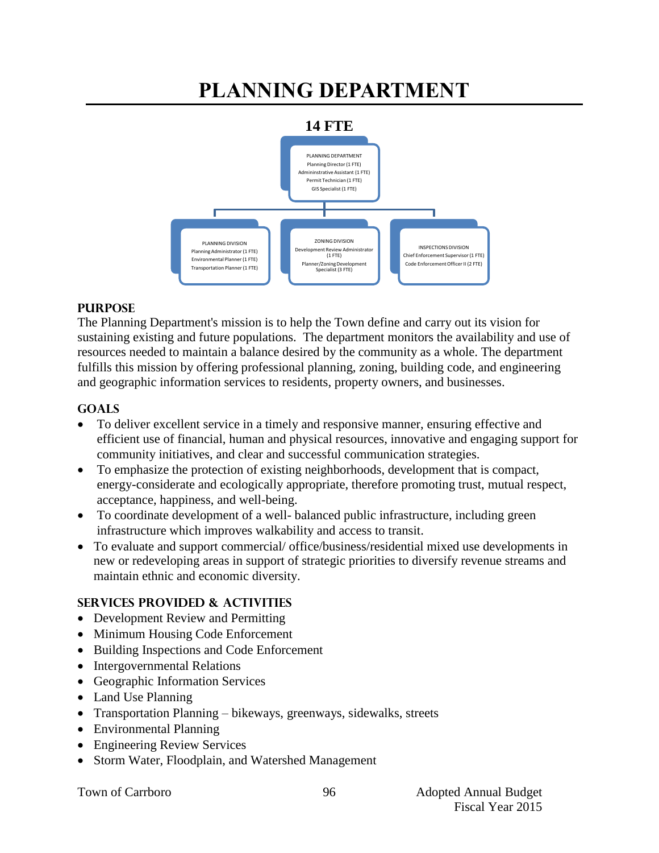# **PLANNING DEPARTMENT**



#### **PURPOSE**

The Planning Department's mission is to help the Town define and carry out its vision for sustaining existing and future populations. The department monitors the availability and use of resources needed to maintain a balance desired by the community as a whole. The department fulfills this mission by offering professional planning, zoning, building code, and engineering and geographic information services to residents, property owners, and businesses.

## **GOALS**

- To deliver excellent service in a timely and responsive manner, ensuring effective and efficient use of financial, human and physical resources, innovative and engaging support for community initiatives, and clear and successful communication strategies.
- To emphasize the protection of existing neighborhoods, development that is compact, energy-considerate and ecologically appropriate, therefore promoting trust, mutual respect, acceptance, happiness, and well-being.
- To coordinate development of a well- balanced public infrastructure, including green infrastructure which improves walkability and access to transit.
- To evaluate and support commercial/ office/business/residential mixed use developments in new or redeveloping areas in support of strategic priorities to diversify revenue streams and maintain ethnic and economic diversity.

## **SERVICES PROVIDED & ACTIVITIES**

- Development Review and Permitting
- Minimum Housing Code Enforcement
- Building Inspections and Code Enforcement
- Intergovernmental Relations
- Geographic Information Services
- Land Use Planning
- Transportation Planning bikeways, greenways, sidewalks, streets
- Environmental Planning
- Engineering Review Services
- Storm Water, Floodplain, and Watershed Management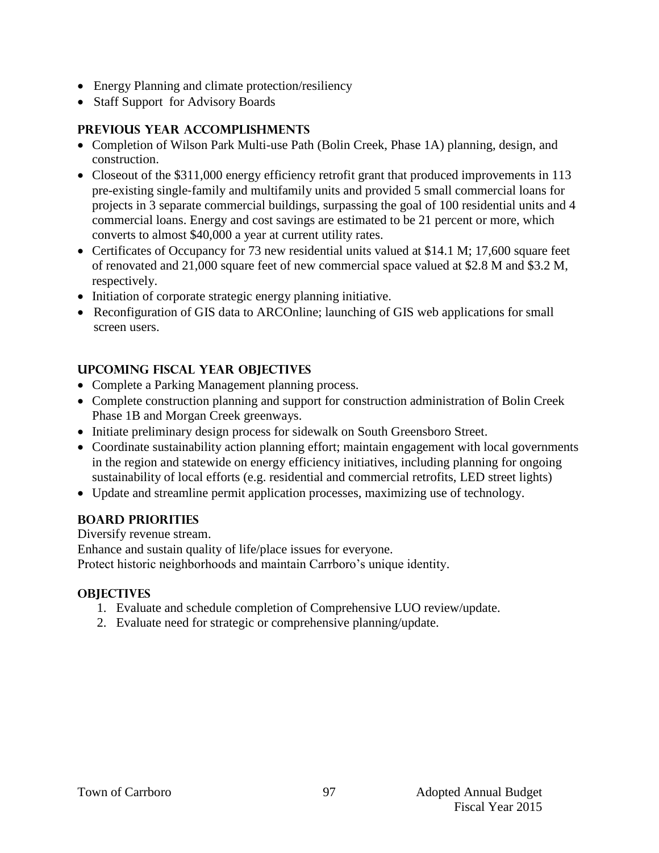- Energy Planning and climate protection/resiliency
- Staff Support for Advisory Boards

# **PREVIOUS YEAR ACCOMPLISHMENTS**

- Completion of Wilson Park Multi-use Path (Bolin Creek, Phase 1A) planning, design, and construction.
- Closeout of the \$311,000 energy efficiency retrofit grant that produced improvements in 113 pre-existing single‐family and multifamily units and provided 5 small commercial loans for projects in 3 separate commercial buildings, surpassing the goal of 100 residential units and 4 commercial loans. Energy and cost savings are estimated to be 21 percent or more, which converts to almost \$40,000 a year at current utility rates.
- Certificates of Occupancy for 73 new residential units valued at \$14.1 M; 17,600 square feet of renovated and 21,000 square feet of new commercial space valued at \$2.8 M and \$3.2 M, respectively.
- Initiation of corporate strategic energy planning initiative.
- Reconfiguration of GIS data to ARCOnline; launching of GIS web applications for small screen users.

# **UPCOMING FISCAL YEAR OBJECTIVES**

- Complete a Parking Management planning process.
- Complete construction planning and support for construction administration of Bolin Creek Phase 1B and Morgan Creek greenways.
- Initiate preliminary design process for sidewalk on South Greensboro Street.
- Coordinate sustainability action planning effort; maintain engagement with local governments in the region and statewide on energy efficiency initiatives, including planning for ongoing sustainability of local efforts (e.g. residential and commercial retrofits, LED street lights)
- Update and streamline permit application processes, maximizing use of technology.

## **BOARD PRIORITIES**

Diversify revenue stream. Enhance and sustain quality of life/place issues for everyone. Protect historic neighborhoods and maintain Carrboro's unique identity.

## **OBJECTIVES**

- 1. Evaluate and schedule completion of Comprehensive LUO review/update.
- 2. Evaluate need for strategic or comprehensive planning/update.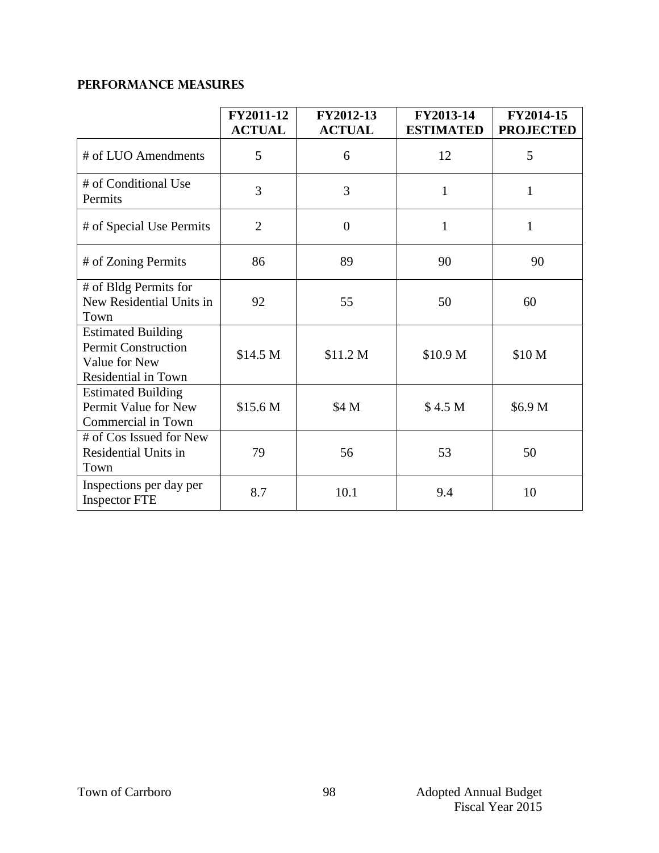# **PERFORMANCE MEASURES**

|                                                                                                 | FY2011-12<br><b>ACTUAL</b> | FY2012-13<br><b>ACTUAL</b> | FY2013-14<br><b>ESTIMATED</b> | FY2014-15<br><b>PROJECTED</b> |
|-------------------------------------------------------------------------------------------------|----------------------------|----------------------------|-------------------------------|-------------------------------|
| # of LUO Amendments                                                                             | 5                          | 6                          | 12                            | 5                             |
| # of Conditional Use<br>Permits                                                                 | 3                          | 3                          | $\mathbf{1}$                  | 1                             |
| # of Special Use Permits                                                                        | $\overline{2}$             | $\overline{0}$             | $\mathbf{1}$                  | $\mathbf{1}$                  |
| # of Zoning Permits                                                                             | 86                         | 89                         | 90                            | 90                            |
| # of Bldg Permits for<br>New Residential Units in<br>Town                                       | 92                         | 55                         | 50                            | 60                            |
| <b>Estimated Building</b><br><b>Permit Construction</b><br>Value for New<br>Residential in Town | \$14.5 M                   | \$11.2 M                   | \$10.9 M                      | \$10 M                        |
| <b>Estimated Building</b><br>Permit Value for New<br>Commercial in Town                         | \$15.6 M                   | \$4 M                      | \$4.5 <sub>M</sub>            | \$6.9 M                       |
| # of Cos Issued for New<br>Residential Units in<br>Town                                         | 79                         | 56                         | 53                            | 50                            |
| Inspections per day per<br><b>Inspector FTE</b>                                                 | 8.7                        | 10.1                       | 9.4                           | 10                            |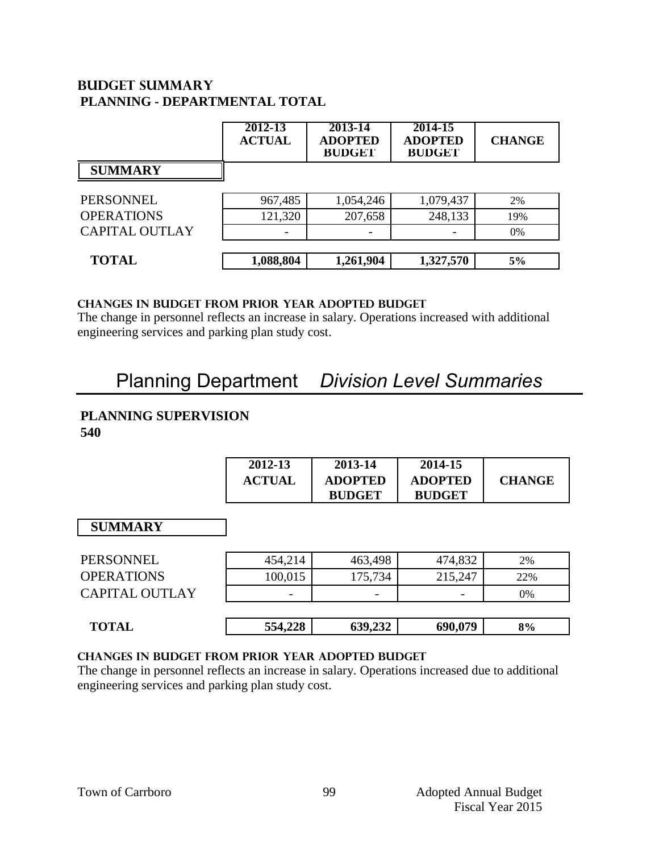# **Budget summary PLANNING - DEPARTMENTAL TOTAL**

|                       | 2012-13<br><b>ACTUAL</b> | 2013-14<br><b>ADOPTED</b><br><b>BUDGET</b> | 2014-15<br><b>ADOPTED</b><br><b>BUDGET</b> | <b>CHANGE</b> |
|-----------------------|--------------------------|--------------------------------------------|--------------------------------------------|---------------|
| <b>SUMMARY</b>        |                          |                                            |                                            |               |
| <b>PERSONNEL</b>      | 967,485                  | 1,054,246                                  | 1,079,437                                  | 2%            |
| <b>OPERATIONS</b>     | 121,320                  | 207,658                                    | 248,133                                    | 19%           |
| <b>CAPITAL OUTLAY</b> |                          |                                            |                                            | 0%            |
| <b>TOTAL</b>          | 1,088,804                | 1,261,904                                  | 1,327,570                                  | 5%            |

#### **CHANGES IN BUDGET from PRIOR YEAR ADOPTED BUDGET**

The change in personnel reflects an increase in salary. Operations increased with additional engineering services and parking plan study cost.

# Planning Department *Division Level Summaries*

## **PLANNING SUPERVISION 540**

|                       | 2012-13<br><b>ACTUAL</b> | 2013-14<br><b>ADOPTED</b><br><b>BUDGET</b> | 2014-15<br><b>ADOPTED</b><br><b>BUDGET</b> | <b>CHANGE</b> |
|-----------------------|--------------------------|--------------------------------------------|--------------------------------------------|---------------|
| <b>SUMMARY</b>        |                          |                                            |                                            |               |
| <b>PERSONNEL</b>      | 454,214                  | 463,498                                    | 474,832                                    | 2%            |
| <b>OPERATIONS</b>     | 100,015                  | 175,734                                    | 215,247                                    | 22%           |
| <b>CAPITAL OUTLAY</b> |                          |                                            |                                            | 0%            |
| <b>TOTAL</b>          | 554,228                  | 639,232                                    | 690,079                                    | 8%            |

## **changes in budget from prior year adopted budget**

The change in personnel reflects an increase in salary. Operations increased due to additional engineering services and parking plan study cost.